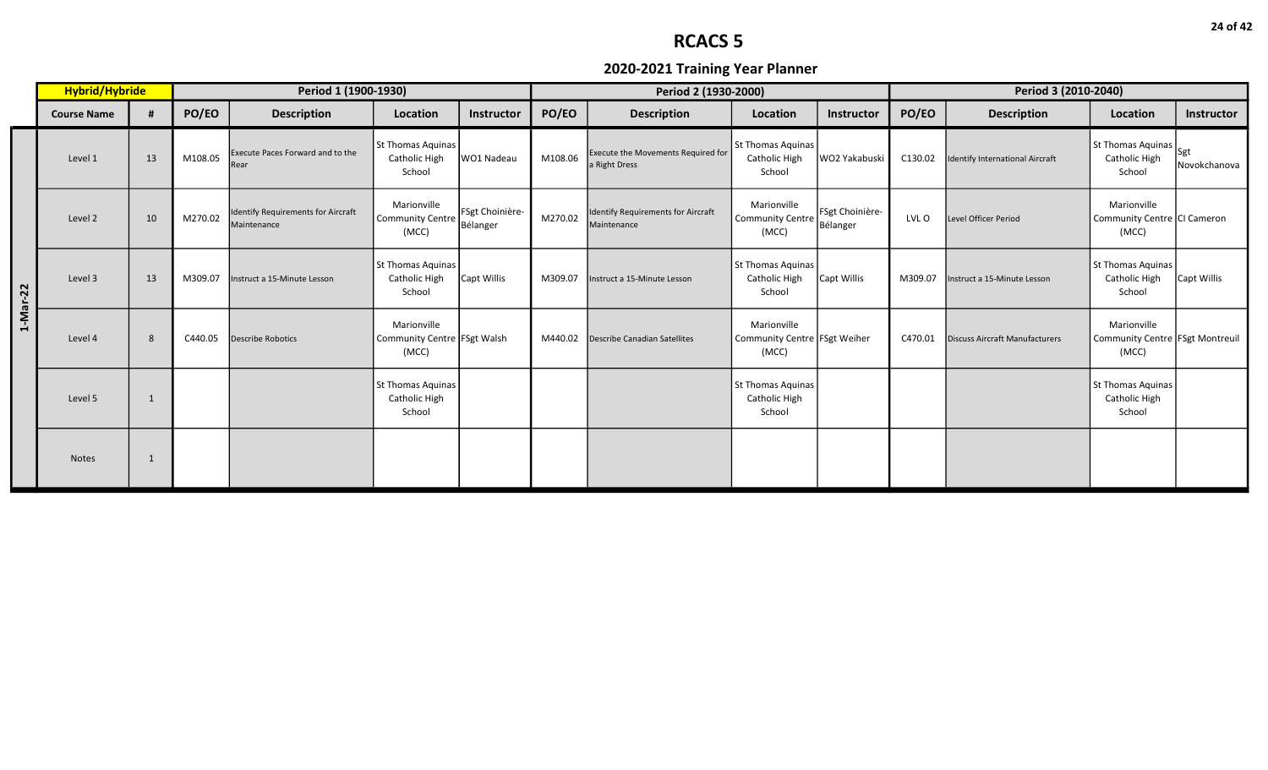|                | Hybrid/Hybride<br>Period 1 (1900-1930) |              |         |                                                          |                                                       |                             | Period 2 (1930-2000) |                                                            |                                                      |                             | Period 3 (2010-2040) |                                       |                                                               |              |
|----------------|----------------------------------------|--------------|---------|----------------------------------------------------------|-------------------------------------------------------|-----------------------------|----------------------|------------------------------------------------------------|------------------------------------------------------|-----------------------------|----------------------|---------------------------------------|---------------------------------------------------------------|--------------|
|                | <b>Course Name</b>                     | $\bf{H}$     | PO/EO   | <b>Description</b>                                       | Location                                              | Instructor                  | PO/EO                | <b>Description</b>                                         | Location                                             | Instructor                  | PO/EO                | <b>Description</b>                    | Location                                                      | Instructor   |
|                | Level 1                                | 13           | M108.05 | <b>Execute Paces Forward and to the</b><br>Rear          | St Thomas Aquinas<br>Catholic High<br>School          | WO1 Nadeau                  | M108.06              | <b>Execute the Movements Required for</b><br>a Right Dress | St Thomas Aquinas<br>Catholic High<br>School         | WO2 Yakabuski               | C130.02              | Identify International Aircraft       | St Thomas Aquinas $ _{\text{Sgt}}$<br>Catholic High<br>School | Novokchanova |
|                | Level 2                                | 10           | M270.02 | <b>Identify Requirements for Aircraft</b><br>Maintenance | Marionville<br><b>Community Centre</b><br>(MCC)       | FSgt Choinière-<br>Bélanger | M270.02              | Identify Requirements for Aircraft<br>Maintenance          | Marionville<br><b>Community Centre</b><br>(MCC)      | FSgt Choinière-<br>Bélanger | LVL O                | Level Officer Period                  | Marionville<br>Community Centre   CI Cameron<br>(MCC)         |              |
| $1 - 1$ Mar-22 | Level 3                                | 13           | M309.07 | Instruct a 15-Minute Lesson                              | St Thomas Aquinas<br>Catholic High<br>School          | Capt Willis                 | M309.07              | Instruct a 15-Minute Lesson                                | <b>St Thomas Aquinas</b><br>Catholic High<br>School  | Capt Willis                 | M309.07              | Instruct a 15-Minute Lesson           | <b>St Thomas Aquinas</b><br>Catholic High<br>School           | Capt Willis  |
|                | Level 4                                | 8            | C440.05 | <b>Describe Robotics</b>                                 | Marionville<br>Community Centre   FSgt Walsh<br>(MCC) |                             | M440.02              | Describe Canadian Satellites                               | Marionville<br>Community Centre FSgt Weiher<br>(MCC) |                             | C470.01              | <b>Discuss Aircraft Manufacturers</b> | Marionville<br>Community Centre   FSgt Montreuil<br>(MCC)     |              |
|                | Level 5                                | $\mathbf{1}$ |         |                                                          | St Thomas Aquinas<br>Catholic High<br>School          |                             |                      |                                                            | <b>St Thomas Aquinas</b><br>Catholic High<br>School  |                             |                      |                                       | <b>St Thomas Aquinas</b><br>Catholic High<br>School           |              |
|                | <b>Notes</b>                           | 1            |         |                                                          |                                                       |                             |                      |                                                            |                                                      |                             |                      |                                       |                                                               |              |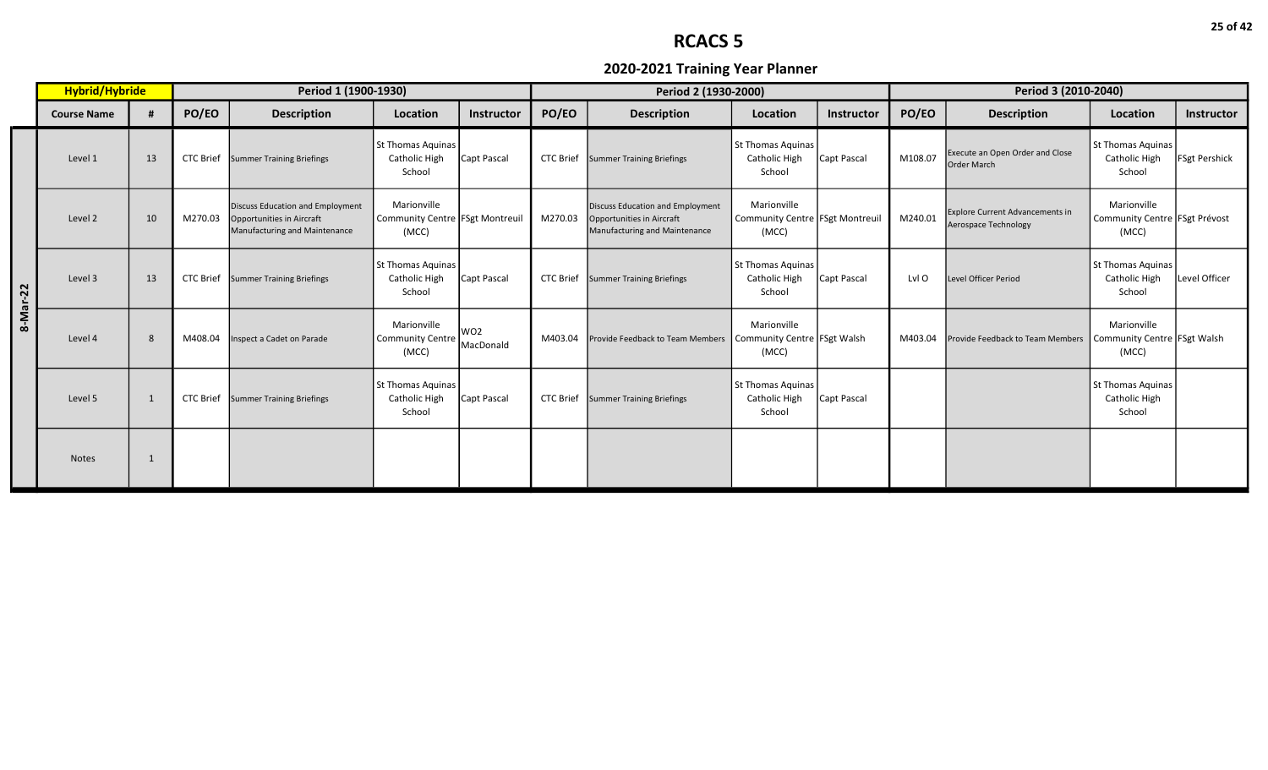|          | Hybrid/Hybride     |    |                  | Period 1 (1900-1930)                                                                           |                                                         |                   |                  | Period 2 (1930-2000)                                                                           |                                                         |                    | Period 3 (2010-2040) |                                                                |                                                         |                      |
|----------|--------------------|----|------------------|------------------------------------------------------------------------------------------------|---------------------------------------------------------|-------------------|------------------|------------------------------------------------------------------------------------------------|---------------------------------------------------------|--------------------|----------------------|----------------------------------------------------------------|---------------------------------------------------------|----------------------|
|          | <b>Course Name</b> |    | PO/EO            | <b>Description</b>                                                                             | Location                                                | Instructor        | PO/EO            | <b>Description</b>                                                                             | Location                                                | Instructor         | PO/EO                | <b>Description</b>                                             | Location                                                | <b>Instructor</b>    |
|          | Level 1            | 13 | <b>CTC Brief</b> | <b>Summer Training Briefings</b>                                                               | St Thomas Aquinas<br>Catholic High<br>School            | Capt Pascal       | <b>CTC Brief</b> | <b>Summer Training Briefings</b>                                                               | St Thomas Aquinas<br>Catholic High<br>School            | Capt Pascal        | M108.07              | Execute an Open Order and Close<br><b>Order March</b>          | St Thomas Aquinas<br>Catholic High<br>School            | <b>FSgt Pershick</b> |
|          | Level 2            | 10 | M270.03          | Discuss Education and Employment<br>Opportunities in Aircraft<br>Manufacturing and Maintenance | Marionville<br>Community Centre FSgt Montreuil<br>(MCC) |                   | M270.03          | Discuss Education and Employment<br>Opportunities in Aircraft<br>Manufacturing and Maintenance | Marionville<br>Community Centre FSgt Montreuil<br>(MCC) |                    | M240.01              | <b>Explore Current Advancements in</b><br>Aerospace Technology | Marionville<br>Community Centre   FSgt Prévost<br>(MCC) |                      |
| 8-Mar-22 | Level 3            | 13 | <b>CTC Brief</b> | <b>Summer Training Briefings</b>                                                               | St Thomas Aquinas<br>Catholic High<br>School            | Capt Pascal       |                  | <b>CTC Brief</b> Summer Training Briefings                                                     | St Thomas Aquinas<br>Catholic High<br>School            | <b>Capt Pascal</b> | Lvl O                | <b>Level Officer Period</b>                                    | <b>St Thomas Aquinas</b><br>Catholic High<br>School     | Level Officer        |
|          | Level 4            | 8  | M408.04          | Inspect a Cadet on Parade                                                                      | Marionville<br><b>Community Centre</b><br>(MCC)         | lwo2<br>MacDonald | M403.04          | Provide Feedback to Team Members   Community Centre   FSgt Walsh                               | Marionville<br>(MCC)                                    |                    | M403.04              | Provide Feedback to Team Members                               | Marionville<br>Community Centre FSgt Walsh<br>(MCC)     |                      |
|          | Level 5            |    | <b>CTC Brief</b> | <b>Summer Training Briefings</b>                                                               | St Thomas Aquinas<br>Catholic High<br>School            | Capt Pascal       | <b>CTC Brief</b> | Summer Training Briefings                                                                      | St Thomas Aquinas<br>Catholic High<br>School            | Capt Pascal        |                      |                                                                | <b>St Thomas Aquinas</b><br>Catholic High<br>School     |                      |
|          | <b>Notes</b>       | 1  |                  |                                                                                                |                                                         |                   |                  |                                                                                                |                                                         |                    |                      |                                                                |                                                         |                      |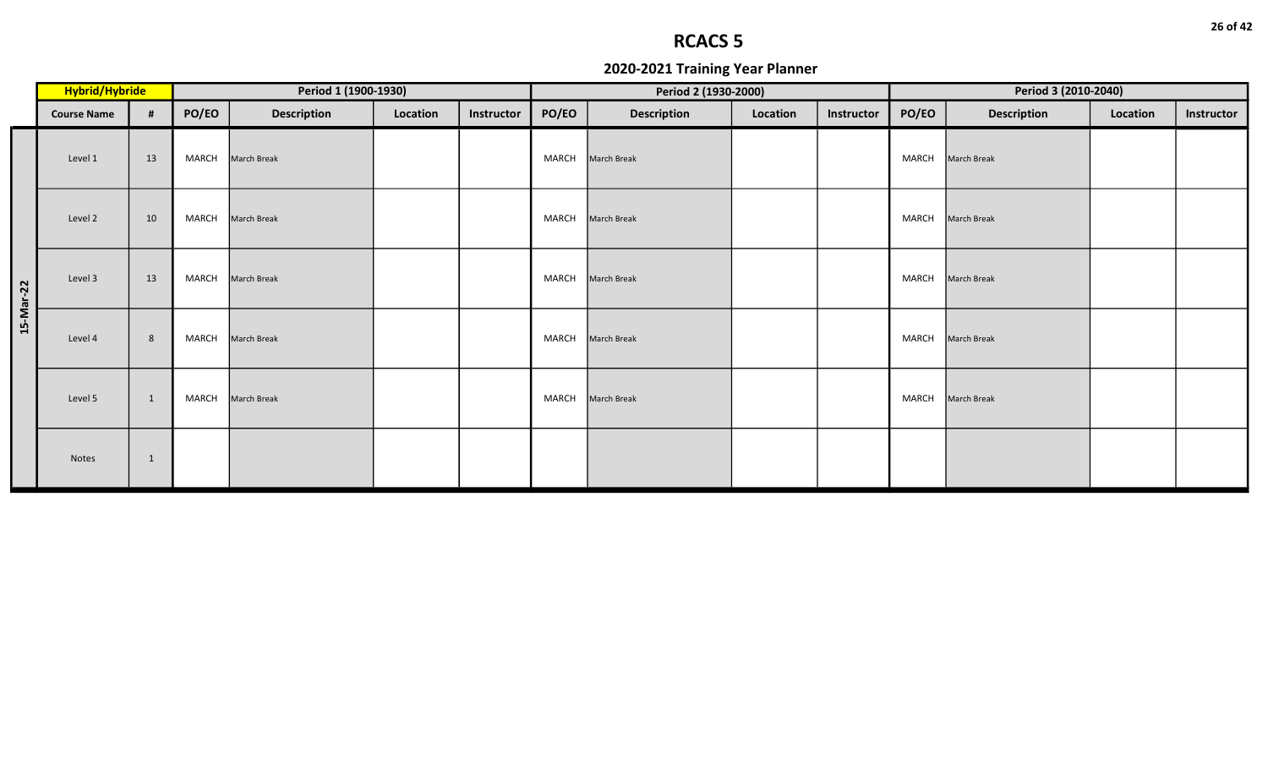|           |                    | Hybrid/Hybride<br>Period 1 (1900-1930) |              |                    |          |            |       | Period 2 (1930-2000) |          |            | Period 3 (2010-2040) |                    |          |            |
|-----------|--------------------|----------------------------------------|--------------|--------------------|----------|------------|-------|----------------------|----------|------------|----------------------|--------------------|----------|------------|
|           | <b>Course Name</b> | #                                      | PO/EO        | <b>Description</b> | Location | Instructor | PO/EO | <b>Description</b>   | Location | Instructor | PO/EO                | <b>Description</b> | Location | Instructor |
|           | Level 1            | 13                                     | MARCH        | March Break        |          |            | MARCH | March Break          |          |            | <b>MARCH</b>         | March Break        |          |            |
|           | Level 2            | 10                                     | MARCH        | March Break        |          |            | MARCH | March Break          |          |            | <b>MARCH</b>         | March Break        |          |            |
| 15-Mar-22 | Level 3            | 13                                     | MARCH        | <b>March Break</b> |          |            | MARCH | March Break          |          |            | <b>MARCH</b>         | March Break        |          |            |
|           | Level 4            | 8                                      | MARCH        | March Break        |          |            | MARCH | March Break          |          |            | <b>MARCH</b>         | March Break        |          |            |
|           | Level 5            | $\mathbf{1}$                           | <b>MARCH</b> | March Break        |          |            | MARCH | March Break          |          |            | <b>MARCH</b>         | March Break        |          |            |
|           | Notes              | 1                                      |              |                    |          |            |       |                      |          |            |                      |                    |          |            |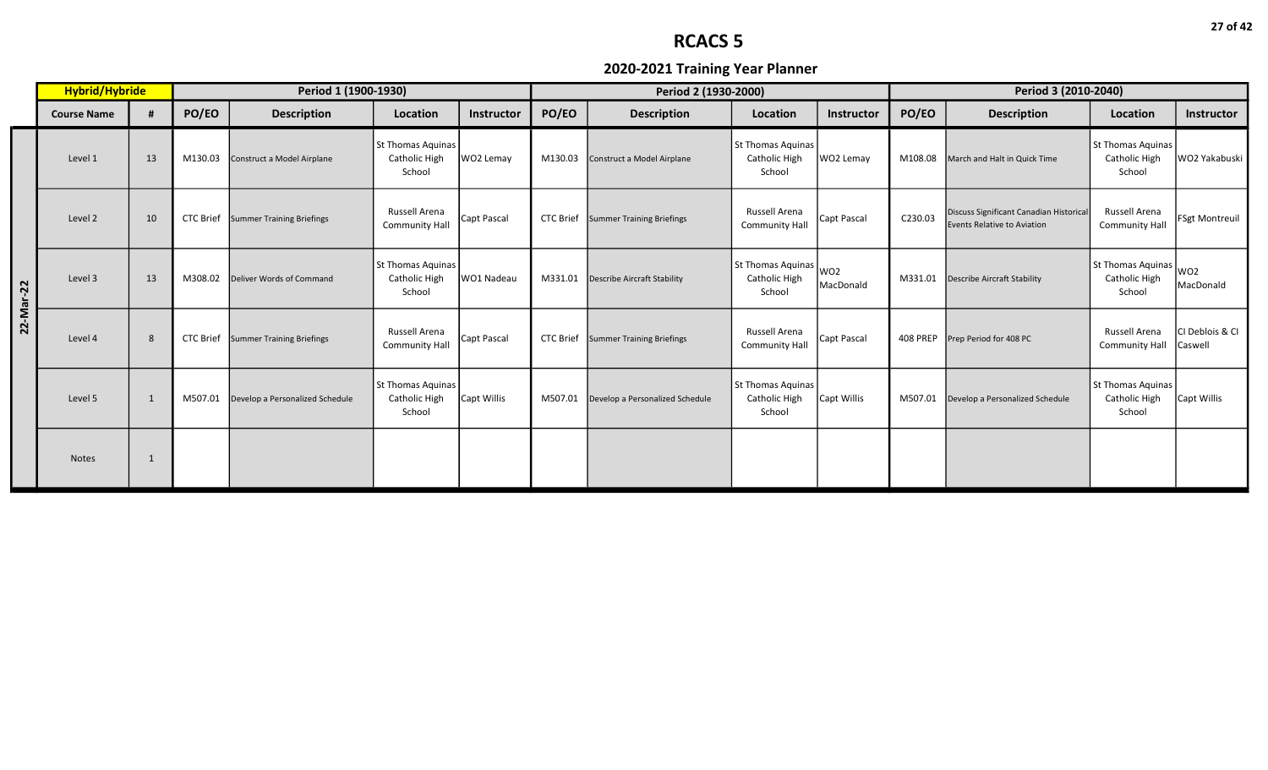|           | Hybrid/Hybride     |              |                  | Period 1 (1900-1930)             |                                                     |             |                  | Period 2 (1930-2000)               |                                                     |                              | Period 3 (2010-2040) |                                                                               |                                                     |                               |
|-----------|--------------------|--------------|------------------|----------------------------------|-----------------------------------------------------|-------------|------------------|------------------------------------|-----------------------------------------------------|------------------------------|----------------------|-------------------------------------------------------------------------------|-----------------------------------------------------|-------------------------------|
|           | <b>Course Name</b> |              | PO/EO            | <b>Description</b>               | Location                                            | Instructor  | PO/EO            | <b>Description</b>                 | Location                                            | Instructor                   | PO/EO                | <b>Description</b>                                                            | Location                                            | <b>Instructor</b>             |
|           | Level 1            | 13           | M130.03          | Construct a Model Airplane       | St Thomas Aquinas<br>Catholic High<br>School        | WO2 Lemay   | M130.03          | Construct a Model Airplane         | St Thomas Aquinas<br>Catholic High<br>School        | WO2 Lemay                    | M108.08              | March and Halt in Quick Time                                                  | <b>St Thomas Aquinas</b><br>Catholic High<br>School | WO2 Yakabuski                 |
|           | Level 2            | 10           | <b>CTC Brief</b> | <b>Summer Training Briefings</b> | Russell Arena<br>Community Hall                     | Capt Pascal | <b>CTC Brief</b> | <b>Summer Training Briefings</b>   | Russell Arena<br>Community Hall                     | Capt Pascal                  | C230.03              | Discuss Significant Canadian Historical<br><b>Events Relative to Aviation</b> | Russell Arena<br><b>Community Hall</b>              | <b>FSgt Montreuil</b>         |
| 22-Mar-22 | Level 3            | 13           | M308.02          | Deliver Words of Command         | <b>St Thomas Aquinas</b><br>Catholic High<br>School | WO1 Nadeau  | M331.01          | <b>Describe Aircraft Stability</b> | St Thomas Aquinas<br><b>Catholic High</b><br>School | WO <sub>2</sub><br>MacDonald | M331.01              | Describe Aircraft Stability                                                   | St Thomas Aquinas<br>Catholic High<br>School        | lwo <sub>2</sub><br>MacDonald |
|           | Level 4            | 8            | <b>CTC Brief</b> | <b>Summer Training Briefings</b> | Russell Arena<br><b>Community Hall</b>              | Capt Pascal | <b>CTC Brief</b> | Summer Training Briefings          | Russell Arena<br><b>Community Hall</b>              | Capt Pascal                  | <b>408 PREP</b>      | Prep Period for 408 PC                                                        | Russell Arena<br><b>Community Hall</b>              | CI Deblois & CI<br>Caswell    |
|           | Level 5            | -1           | M507.01          | Develop a Personalized Schedule  | <b>St Thomas Aquinas</b><br>Catholic High<br>School | Capt Willis | M507.01          | Develop a Personalized Schedule    | St Thomas Aquinas<br>Catholic High<br>School        | Capt Willis                  | M507.01              | Develop a Personalized Schedule                                               | <b>St Thomas Aquinas</b><br>Catholic High<br>School | Capt Willis                   |
|           | <b>Notes</b>       | $\mathbf{1}$ |                  |                                  |                                                     |             |                  |                                    |                                                     |                              |                      |                                                                               |                                                     |                               |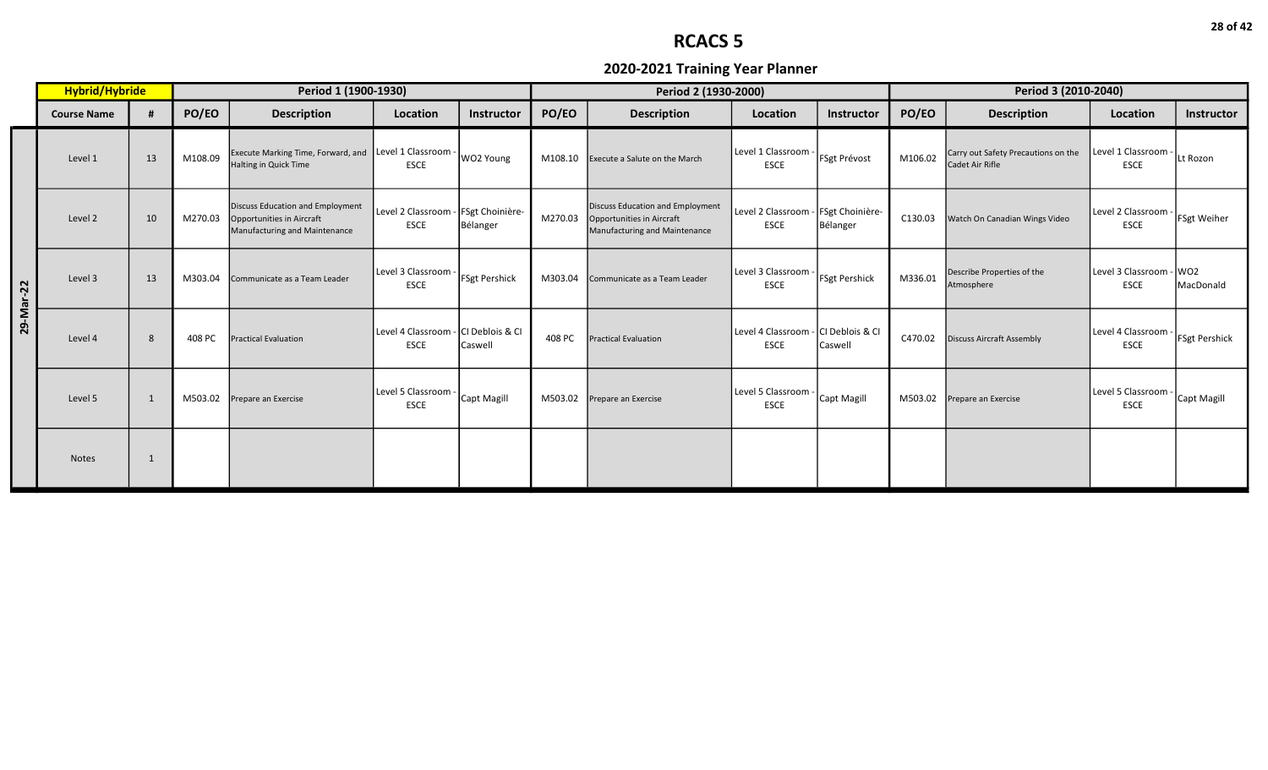|           | Hybrid/Hybride     |                |         | Period 1 (1900-1930)                                                                                  |                                                    |               |         | Period 2 (1930-2000)                                                                           |                                    |                               |         | Period 3 (2010-2040)                                   |                                        |                      |
|-----------|--------------------|----------------|---------|-------------------------------------------------------------------------------------------------------|----------------------------------------------------|---------------|---------|------------------------------------------------------------------------------------------------|------------------------------------|-------------------------------|---------|--------------------------------------------------------|----------------------------------------|----------------------|
|           | <b>Course Name</b> |                | PO/EO   | <b>Description</b>                                                                                    | Location                                           | Instructor    | PO/EO   | <b>Description</b>                                                                             | Location                           | Instructor                    | PO/EO   | <b>Description</b>                                     | Location                               | Instructor           |
|           | Level 1            | 13             | M108.09 | Execute Marking Time, Forward, and Level 1 Classroom<br><b>Halting in Quick Time</b>                  | <b>ESCE</b>                                        | WO2 Young     | M108.10 | Execute a Salute on the March                                                                  | Level 1 Classroom<br><b>ESCE</b>   | FSgt Prévost                  | M106.02 | Carry out Safety Precautions on the<br>Cadet Air Rifle | Level 1 Classroom -<br><b>ESCE</b>     | Lt Rozon             |
|           | Level 2            | 10             | M270.03 | <b>Discuss Education and Employment</b><br>Opportunities in Aircraft<br>Manufacturing and Maintenance | Level 2 Classroom - FSgt Choinière-<br><b>ESCE</b> | Bélanger      | M270.03 | Discuss Education and Employment<br>Opportunities in Aircraft<br>Manufacturing and Maintenance | Level 2 Classroom -<br><b>ESCE</b> | - FSgt Choinière-<br>Bélanger | C130.03 | Watch On Canadian Wings Video                          | Level 2 Classroom -<br><b>ESCE</b>     | FSgt Weiher          |
| 29-Mar-22 | Level 3            | 13             | M303.04 | Communicate as a Team Leader                                                                          | Level 3 Classroom<br><b>ESCE</b>                   | FSgt Pershick | M303.04 | Communicate as a Team Leader                                                                   | Level 3 Classroom<br><b>ESCE</b>   | <b>FSgt Pershick</b>          | M336.01 | Describe Properties of the<br>Atmosphere               | Level 3 Classroom - WO2<br><b>ESCE</b> | MacDonald            |
|           | Level 4            | 8              | 408 PC  | <b>Practical Evaluation</b>                                                                           | Level 4 Classroom - CI Deblois & CI<br><b>ESCE</b> | Caswell       | 408 PC  | <b>Practical Evaluation</b>                                                                    | Level 4 Classroom -<br><b>ESCE</b> | - CI Deblois & CI<br>Caswell  | C470.02 | <b>Discuss Aircraft Assembly</b>                       | Level 4 Classroom -<br><b>ESCE</b>     | <b>FSgt Pershick</b> |
|           | Level 5            | $\overline{1}$ | M503.02 | Prepare an Exercise                                                                                   | Level 5 Classroom<br><b>ESCE</b>                   | Capt Magill   | M503.02 | Prepare an Exercise                                                                            | Level 5 Classroom<br><b>ESCE</b>   | Capt Magill                   | M503.02 | Prepare an Exercise                                    | Level 5 Classroom .<br><b>ESCE</b>     | Capt Magill          |
|           | <b>Notes</b>       | $\mathbf{1}$   |         |                                                                                                       |                                                    |               |         |                                                                                                |                                    |                               |         |                                                        |                                        |                      |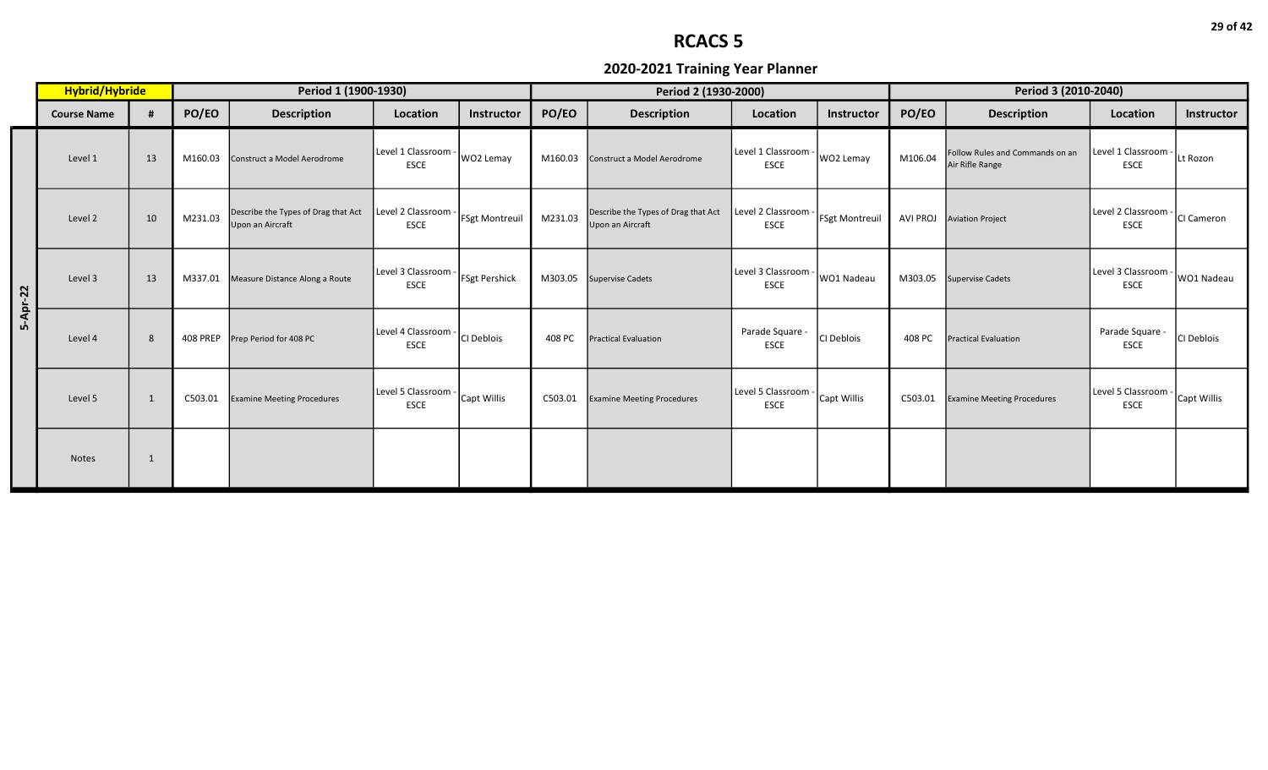|          | Hybrid/Hybride     |              |                 | Period 1 (1900-1930)                                    |                                  |                       |         | Period 2 (1930-2000)                                    |                                    |                       | Period 3 (2010-2040) |                                                    |                                    |                   |
|----------|--------------------|--------------|-----------------|---------------------------------------------------------|----------------------------------|-----------------------|---------|---------------------------------------------------------|------------------------------------|-----------------------|----------------------|----------------------------------------------------|------------------------------------|-------------------|
|          | <b>Course Name</b> |              | PO/EO           | <b>Description</b>                                      | Location                         | Instructor            | PO/EO   | <b>Description</b>                                      | Location                           | <b>Instructor</b>     | PO/EO                | <b>Description</b>                                 | Location                           | <b>Instructor</b> |
|          | Level 1            | 13           | M160.03         | Construct a Model Aerodrome                             | Level 1 Classroom<br><b>ESCE</b> | WO2 Lemay             | M160.03 | Construct a Model Aerodrome                             | Level 1 Classroom<br><b>ESCE</b>   | WO2 Lemay             | M106.04              | Follow Rules and Commands on an<br>Air Rifle Range | Level 1 Classroom -<br><b>ESCE</b> | Lt Rozon          |
|          | Level 2            | 10           | M231.03         | Describe the Types of Drag that Act<br>Upon an Aircraft | Level 2 Classroom<br><b>ESCE</b> | <b>FSgt Montreuil</b> | M231.03 | Describe the Types of Drag that Act<br>Upon an Aircraft | Level 2 Classroom -<br><b>ESCE</b> | <b>FSgt Montreuil</b> | <b>AVI PROJ</b>      | Aviation Project                                   | Level 2 Classroom -<br><b>ESCE</b> | CI Cameron        |
| 5-Apr-22 | Level 3            | 13           | M337.01         | Measure Distance Along a Route                          | Level 3 Classroom<br><b>ESCE</b> | FSgt Pershick         | M303.05 | <b>Supervise Cadets</b>                                 | Level 3 Classroom -<br><b>ESCE</b> | WO1 Nadeau            | M303.05              | Supervise Cadets                                   | Level 3 Classroom -<br><b>ESCE</b> | WO1 Nadeau        |
|          | Level 4            | 8            | <b>408 PREP</b> | Prep Period for 408 PC                                  | Level 4 Classroom<br><b>ESCE</b> | CI Deblois            | 408 PC  | <b>Practical Evaluation</b>                             | Parade Square -<br><b>ESCE</b>     | CI Deblois            | 408 PC               | <b>Practical Evaluation</b>                        | Parade Square -<br><b>ESCE</b>     | CI Deblois        |
|          | Level 5            | $\mathbf{1}$ | C503.01         | <b>Examine Meeting Procedures</b>                       | Level 5 Classroom<br><b>ESCE</b> | Capt Willis           | C503.01 | <b>Examine Meeting Procedures</b>                       | Level 5 Classroom<br><b>ESCE</b>   | Capt Willis           | C503.01              | <b>Examine Meeting Procedures</b>                  | Level 5 Classroom -<br><b>ESCE</b> | Capt Willis       |
|          | <b>Notes</b>       | 1            |                 |                                                         |                                  |                       |         |                                                         |                                    |                       |                      |                                                    |                                    |                   |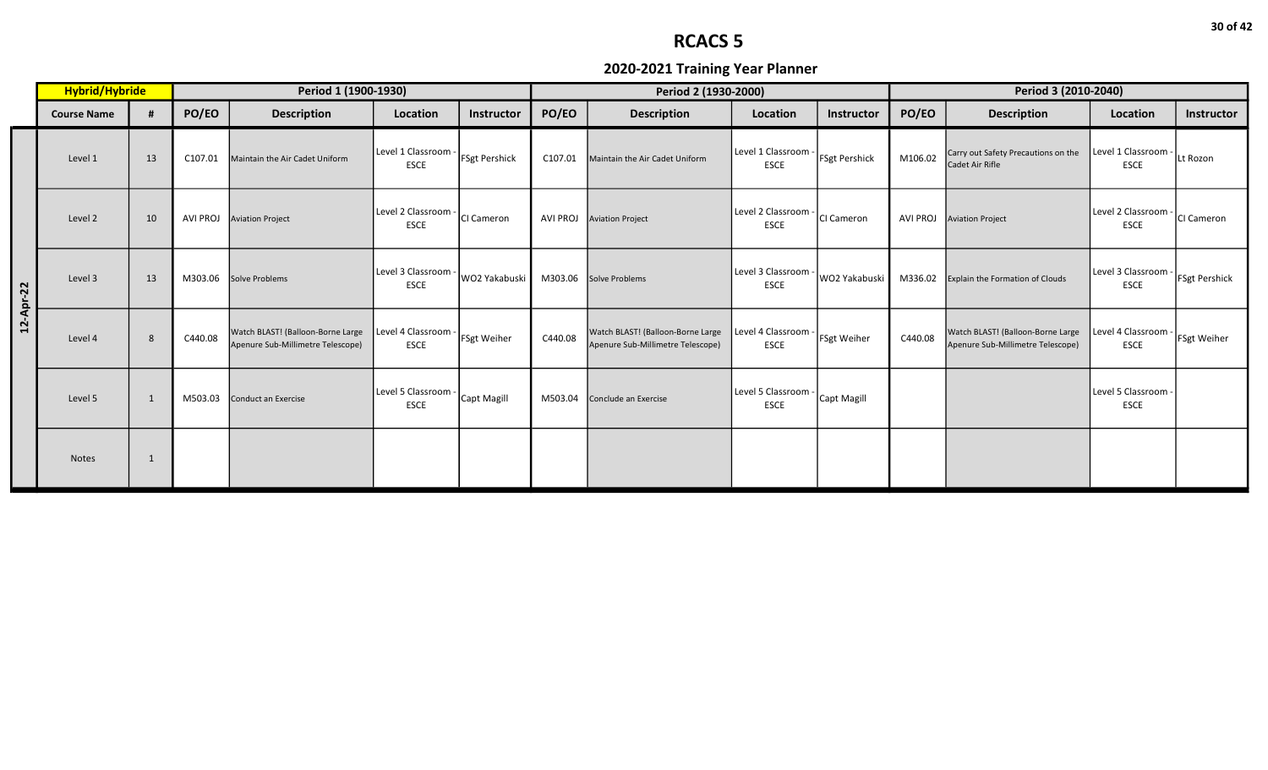|           | Hybrid/Hybride     |    |          | Period 1 (1900-1930)                                                   |                                  |               |          | Period 2 (1930-2000)                                                   |                                    |                      | Period 3 (2010-2040) |                                                                        |                                  |                      |
|-----------|--------------------|----|----------|------------------------------------------------------------------------|----------------------------------|---------------|----------|------------------------------------------------------------------------|------------------------------------|----------------------|----------------------|------------------------------------------------------------------------|----------------------------------|----------------------|
|           | <b>Course Name</b> | #  | PO/EO    | <b>Description</b>                                                     | Location                         | Instructor    | PO/EO    | <b>Description</b>                                                     | Location                           | Instructor           | PO/EO                | <b>Description</b>                                                     | Location                         | Instructor           |
|           | Level 1            | 13 | C107.01  | Maintain the Air Cadet Uniform                                         | Level 1 Classroom<br><b>ESCE</b> | FSgt Pershick | C107.01  | Maintain the Air Cadet Uniform                                         | Level 1 Classroom -<br><b>ESCE</b> | <b>FSgt Pershick</b> | M106.02              | Carry out Safety Precautions on the<br>Cadet Air Rifle                 | Level 1 Classroom<br><b>ESCE</b> | Lt Rozon             |
|           | Level 2            | 10 | AVI PROJ | <b>Aviation Project</b>                                                | Level 2 Classroom<br><b>ESCE</b> | CI Cameron    | AVI PROJ | <b>Aviation Project</b>                                                | Level 2 Classroom -<br><b>ESCE</b> | CI Cameron           | AVI PROJ             | <b>Aviation Project</b>                                                | Level 2 Classroom<br><b>ESCE</b> | CI Cameron           |
| 12-Apr-22 | Level 3            | 13 | M303.06  | <b>Solve Problems</b>                                                  | Level 3 Classroom<br><b>ESCE</b> | WO2 Yakabuski |          | M303.06 Solve Problems                                                 | Level 3 Classroom -<br><b>ESCE</b> | WO2 Yakabuski        | M336.02              | Explain the Formation of Clouds                                        | Level 3 Classroom<br><b>ESCE</b> | <b>FSgt Pershick</b> |
|           | Level 4            | 8  | C440.08  | Watch BLAST! (Balloon-Borne Large<br>Apenure Sub-Millimetre Telescope) | Level 4 Classroom<br><b>ESCE</b> | FSgt Weiher   | C440.08  | Watch BLAST! (Balloon-Borne Large<br>Apenure Sub-Millimetre Telescope) | Level 4 Classroom -<br><b>ESCE</b> | <b>FSgt Weiher</b>   | C440.08              | Watch BLAST! (Balloon-Borne Large<br>Apenure Sub-Millimetre Telescope) | Level 4 Classroom<br><b>ESCE</b> | <b>FSgt Weiher</b>   |
|           | Level 5            | 1  | M503.03  | Conduct an Exercise                                                    | Level 5 Classroom<br><b>ESCE</b> | Capt Magill   | M503.04  | Conclude an Exercise                                                   | Level 5 Classroom<br><b>ESCE</b>   | Capt Magill          |                      |                                                                        | Level 5 Classroom<br><b>ESCE</b> |                      |
|           | <b>Notes</b>       | -1 |          |                                                                        |                                  |               |          |                                                                        |                                    |                      |                      |                                                                        |                                  |                      |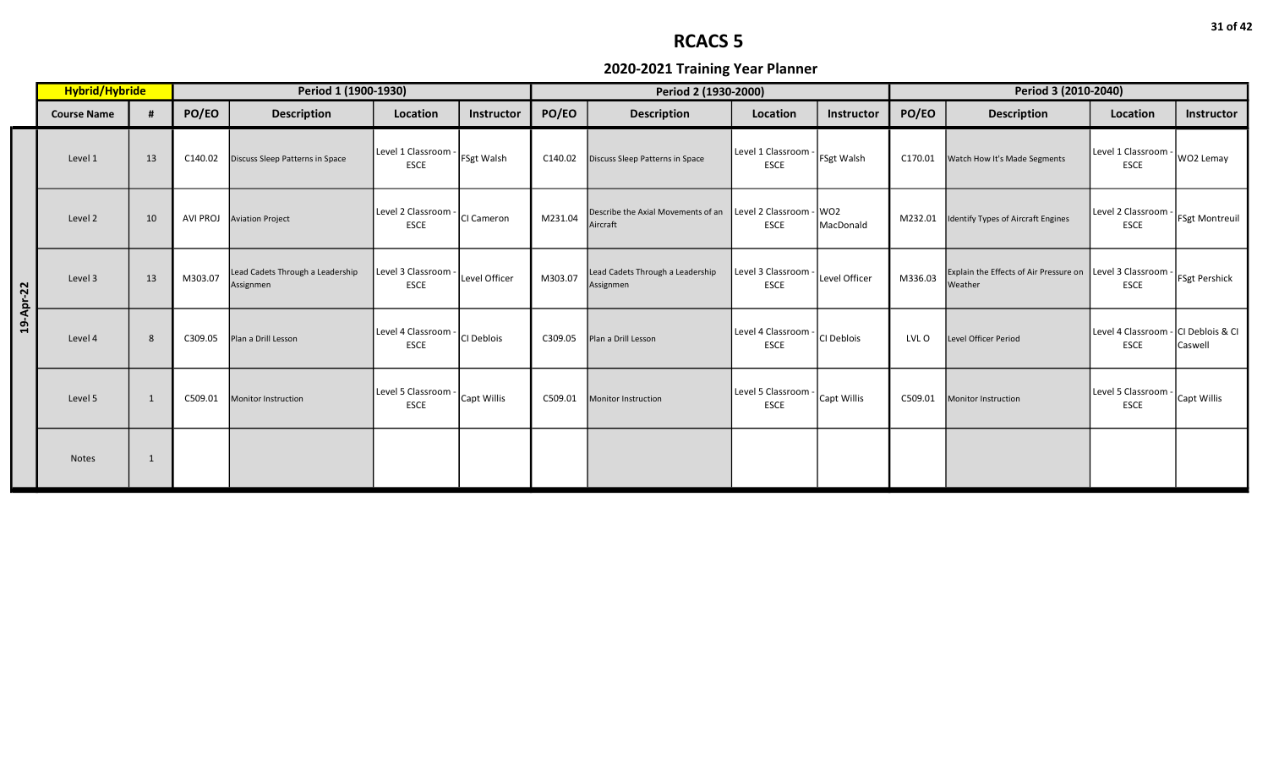|           | Hybrid/Hybride     |              |          | Period 1 (1900-1930)                          |                                  |               |         | Period 2 (1930-2000)                           |                                        |               |         | Period 3 (2010-2040)                              |                                                    |                       |
|-----------|--------------------|--------------|----------|-----------------------------------------------|----------------------------------|---------------|---------|------------------------------------------------|----------------------------------------|---------------|---------|---------------------------------------------------|----------------------------------------------------|-----------------------|
|           | <b>Course Name</b> |              | PO/EO    | <b>Description</b>                            | Location                         | Instructor    | PO/EO   | <b>Description</b>                             | Location                               | Instructor    | PO/EO   | <b>Description</b>                                | Location                                           | Instructor            |
|           | Level 1            | 13           | C140.02  | Discuss Sleep Patterns in Space               | Level 1 Classroom<br><b>ESCE</b> | FSgt Walsh    | C140.02 | Discuss Sleep Patterns in Space                | Level 1 Classroom<br><b>ESCE</b>       | FSgt Walsh    | C170.01 | Watch How It's Made Segments                      | Level 1 Classroom<br><b>ESCE</b>                   | WO2 Lemay             |
|           | Level 2            | 10           | AVI PROJ | <b>Aviation Project</b>                       | Level 2 Classroom<br><b>ESCE</b> | CI Cameron    | M231.04 | Describe the Axial Movements of an<br>Aircraft | Level 2 Classroom - WO2<br><b>ESCE</b> | MacDonald     | M232.01 | Identify Types of Aircraft Engines                | Level 2 Classroom -<br><b>ESCE</b>                 | <b>FSgt Montreuil</b> |
| 19-Apr-22 | Level 3            | 13           | M303.07  | Lead Cadets Through a Leadership<br>Assignmen | Level 3 Classroom<br><b>ESCE</b> | Level Officer | M303.07 | Lead Cadets Through a Leadership<br>Assignmen  | Level 3 Classroom<br><b>ESCE</b>       | Level Officer | M336.03 | Explain the Effects of Air Pressure on<br>Weather | Level 3 Classroom -<br><b>ESCE</b>                 | <b>FSgt Pershick</b>  |
|           | Level 4            | 8            | C309.05  | Plan a Drill Lesson                           | Level 4 Classroom<br><b>ESCE</b> | CI Deblois    | C309.05 | Plan a Drill Lesson                            | Level 4 Classroom<br><b>ESCE</b>       | CI Deblois    | LVL O   | Level Officer Period                              | Level 4 Classroom - CI Deblois & CI<br><b>ESCE</b> | Caswell               |
|           | Level 5            | $\mathbf{1}$ | C509.01  | <b>Monitor Instruction</b>                    | Level 5 Classroom<br><b>ESCE</b> | Capt Willis   | C509.01 | Monitor Instruction                            | Level 5 Classroom<br><b>ESCE</b>       | Capt Willis   | C509.01 | <b>Monitor Instruction</b>                        | Level 5 Classroom -<br><b>ESCE</b>                 | Capt Willis           |
|           | <b>Notes</b>       | -1           |          |                                               |                                  |               |         |                                                |                                        |               |         |                                                   |                                                    |                       |